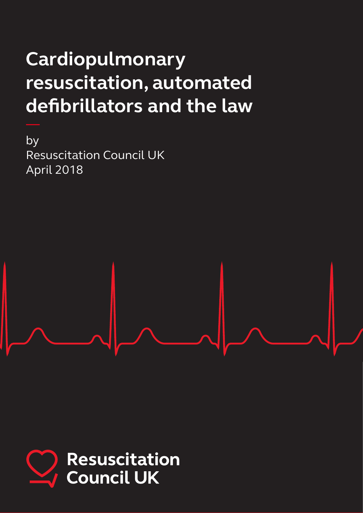# **Cardiopulmonary resuscitation, automated defibrillators and the law**

by Resuscitation Council UK April 2018

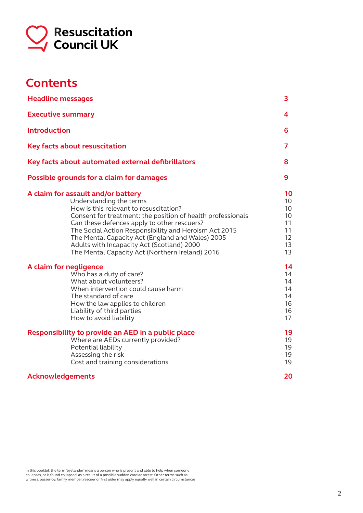

# **Contents**

| <b>Headline messages</b>                                                                                                                                                                                                                                                                                                                                                                                                            | 3                                                  |
|-------------------------------------------------------------------------------------------------------------------------------------------------------------------------------------------------------------------------------------------------------------------------------------------------------------------------------------------------------------------------------------------------------------------------------------|----------------------------------------------------|
| <b>Executive summary</b>                                                                                                                                                                                                                                                                                                                                                                                                            | 4                                                  |
| <b>Introduction</b>                                                                                                                                                                                                                                                                                                                                                                                                                 | 6                                                  |
| <b>Key facts about resuscitation</b>                                                                                                                                                                                                                                                                                                                                                                                                | 7                                                  |
| Key facts about automated external defibrillators                                                                                                                                                                                                                                                                                                                                                                                   | 8                                                  |
| Possible grounds for a claim for damages                                                                                                                                                                                                                                                                                                                                                                                            | 9                                                  |
| A claim for assault and/or battery<br>Understanding the terms<br>How is this relevant to resuscitation?<br>Consent for treatment: the position of health professionals<br>Can these defences apply to other rescuers?<br>The Social Action Responsibility and Heroism Act 2015<br>The Mental Capacity Act (England and Wales) 2005<br>Adults with Incapacity Act (Scotland) 2000<br>The Mental Capacity Act (Northern Ireland) 2016 | 10<br>10<br>10<br>10<br>11<br>11<br>12<br>13<br>13 |
| A claim for negligence<br>Who has a duty of care?<br>What about volunteers?<br>When intervention could cause harm<br>The standard of care<br>How the law applies to children<br>Liability of third parties<br>How to avoid liability                                                                                                                                                                                                | 14<br>14<br>14<br>14<br>14<br>16<br>16<br>17       |
| Responsibility to provide an AED in a public place<br>Where are AEDs currently provided?<br>Potential liability<br>Assessing the risk<br>Cost and training considerations                                                                                                                                                                                                                                                           | 19<br>19<br>19<br>19<br>19                         |
| <b>Acknowledgements</b>                                                                                                                                                                                                                                                                                                                                                                                                             | 20                                                 |

In this booklet, the term 'bystander' means a person who is present and able to help when someone<br>collapses, or is found collapsed, as a result of a possible sudden cardiac arrest. Other terms such as<br>witness, passer-by, f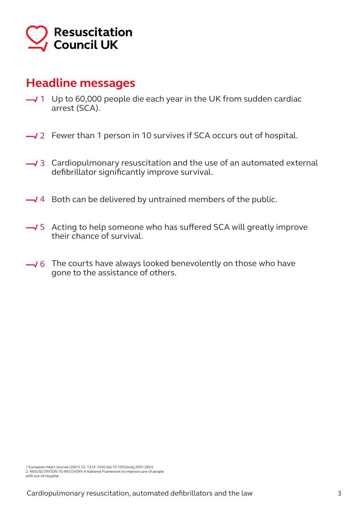

# **Headline messages**

- Up to 60,000 people die each year in the UK from sudden cardiac 1 arrest (SCA).
- 2 Fewer than 1 person in 10 survives if SCA occurs out of hospital.
- Cardiopulmonary resuscitation and the use of an automated external 3 defibrillator significantly improve survival.
- 4 Both can be delivered by untrained members of the public.
- Acting to help someone who has suffered SCA will greatly improve 5 their chance of survival.
- The courts have always looked benevolently on those who have 6 gone to the assistance of others.

<sup>1</sup> European Heart Journal (2001) 22, 1374–1450 doi:10.1053/euhj.2001.2824 2 RESUSCITATION TO RECOVERY A National Framework to improve care of people

with out-of-hospital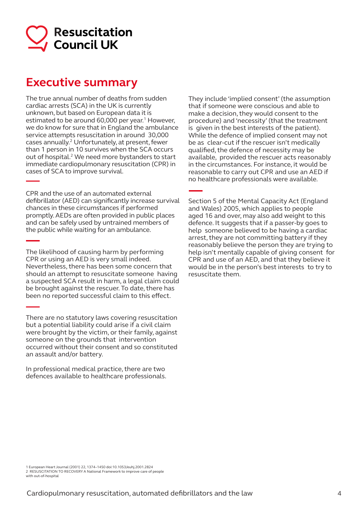

# **Executive summary**

The true annual number of deaths from sudden cardiac arrests (SCA) in the UK is currently unknown, but based on European data it is estimated to be around 60,000 per year.<sup>1</sup> However, we do know for sure that in England the ambulance service attempts resuscitation in around 30,000 cases annually.2 Unfortunately, at present, fewer than 1 person in 10 survives when the SCA occurs out of hospital.<sup>2</sup> We need more bystanders to start immediate cardiopulmonary resuscitation (CPR) in cases of SCA to improve survival.

CPR and the use of an automated external defibrillator (AED) can significantly increase survival chances in these circumstances if performed promptly. AEDs are often provided in public places and can be safely used by untrained members of the public while waiting for an ambulance.

The likelihood of causing harm by performing CPR or using an AED is very small indeed. Nevertheless, there has been some concern that should an attempt to resuscitate someone having a suspected SCA result in harm, a legal claim could be brought against the rescuer. To date, there has been no reported successful claim to this effect.

There are no statutory laws covering resuscitation but a potential liability could arise if a civil claim were brought by the victim, or their family, against someone on the grounds that intervention occurred without their consent and so constituted an assault and/or battery.

In professional medical practice, there are two defences available to healthcare professionals. They include 'implied consent' (the assumption that if someone were conscious and able to make a decision, they would consent to the procedure) and 'necessity' (that the treatment is given in the best interests of the patient). While the defence of implied consent may not be as clear-cut if the rescuer isn't medically qualified, the defence of necessity may be available, provided the rescuer acts reasonably in the circumstances. For instance, it would be reasonable to carry out CPR and use an AED if no healthcare professionals were available.

Section 5 of the Mental Capacity Act (England and Wales) 2005, which applies to people aged 16 and over, may also add weight to this defence. It suggests that if a passer-by goes to help someone believed to be having a cardiac arrest, they are not committing battery if they reasonably believe the person they are trying to help isn't mentally capable of giving consent for CPR and use of an AED, and that they believe it would be in the person's best interests to try to resuscitate them.

1 European Heart Journal (2001) 22, 1374–1450 doi:10.1053/euhj.2001.2824 2 RESUSCITATION TO RECOVERY A National Framework to improve care of people with out-of-hospital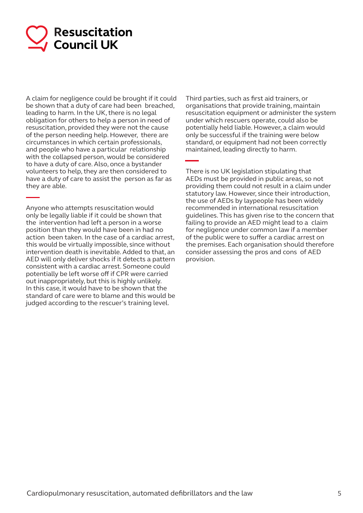

A claim for negligence could be brought if it could be shown that a duty of care had been breached, leading to harm. In the UK, there is no legal obligation for others to help a person in need of resuscitation, provided they were not the cause of the person needing help. However, there are circumstances in which certain professionals, and people who have a particular relationship with the collapsed person, would be considered to have a duty of care. Also, once a bystander volunteers to help, they are then considered to have a duty of care to assist the person as far as they are able.

Anyone who attempts resuscitation would only be legally liable if it could be shown that the intervention had left a person in a worse position than they would have been in had no action been taken. In the case of a cardiac arrest, this would be virtually impossible, since without intervention death is inevitable. Added to that, an AED will only deliver shocks if it detects a pattern consistent with a cardiac arrest. Someone could potentially be left worse off if CPR were carried out inappropriately, but this is highly unlikely. In this case, it would have to be shown that the standard of care were to blame and this would be judged according to the rescuer's training level.

Third parties, such as first aid trainers, or organisations that provide training, maintain resuscitation equipment or administer the system under which rescuers operate, could also be potentially held liable. However, a claim would only be successful if the training were below standard, or equipment had not been correctly maintained, leading directly to harm.

There is no UK legislation stipulating that AEDs must be provided in public areas, so not providing them could not result in a claim under statutory law. However, since their introduction, the use of AEDs by laypeople has been widely recommended in international resuscitation guidelines. This has given rise to the concern that failing to provide an AED might lead to a claim for negligence under common law if a member of the public were to suffer a cardiac arrest on the premises. Each organisation should therefore consider assessing the pros and cons of AED provision.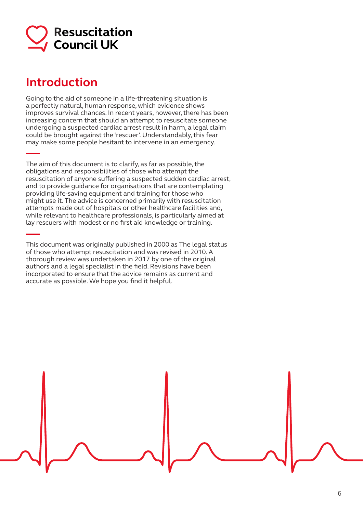

# **Introduction**

Going to the aid of someone in a life-threatening situation is a perfectly natural, human response, which evidence shows improves survival chances. In recent years, however, there has been increasing concern that should an attempt to resuscitate someone undergoing a suspected cardiac arrest result in harm, a legal claim could be brought against the 'rescuer'. Understandably, this fear may make some people hesitant to intervene in an emergency.

The aim of this document is to clarify, as far as possible, the obligations and responsibilities of those who attempt the resuscitation of anyone suffering a suspected sudden cardiac arrest, and to provide guidance for organisations that are contemplating providing life-saving equipment and training for those who might use it. The advice is concerned primarily with resuscitation attempts made out of hospitals or other healthcare facilities and, while relevant to healthcare professionals, is particularly aimed at lay rescuers with modest or no first aid knowledge or training.

This document was originally published in 2000 as The legal status of those who attempt resuscitation and was revised in 2010. A thorough review was undertaken in 2017 by one of the original authors and a legal specialist in the field. Revisions have been incorporated to ensure that the advice remains as current and accurate as possible. We hope you find it helpful.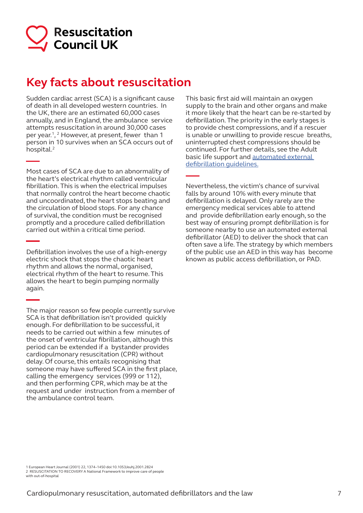

# **Key facts about resuscitation**

Sudden cardiac arrest (SCA) is a significant cause of death in all developed western countries. In the UK, there are an estimated 60,000 cases annually, and in England, the ambulance service attempts resuscitation in around 30,000 cases per year.1, 2 However, at present, fewer than 1 person in 10 survives when an SCA occurs out of hospital.2

Most cases of SCA are due to an abnormality of the heart's electrical rhythm called ventricular fibrillation. This is when the electrical impulses that normally control the heart become chaotic and uncoordinated, the heart stops beating and the circulation of blood stops. For any chance of survival, the condition must be recognised promptly and a procedure called defibrillation carried out within a critical time period.

Defibrillation involves the use of a high-energy electric shock that stops the chaotic heart rhythm and allows the normal, organised, electrical rhythm of the heart to resume. This allows the heart to begin pumping normally again.

The major reason so few people currently survive SCA is that defibrillation isn't provided quickly enough. For defibrillation to be successful, it needs to be carried out within a few minutes of the onset of ventricular fibrillation, although this period can be extended if a bystander provides cardiopulmonary resuscitation (CPR) without delay. Of course, this entails recognising that someone may have suffered SCA in the first place, calling the emergency services (999 or 112), and then performing CPR, which may be at the request and under instruction from a member of the ambulance control team.

This basic first aid will maintain an oxygen supply to the brain and other organs and make it more likely that the heart can be re-started by defibrillation. The priority in the early stages is to provide chest compressions, and if a rescuer is unable or unwilling to provide rescue breaths, uninterrupted chest compressions should be continued. For further details, see the Adult basic life support and automated external defibrillation guidelines.

Nevertheless, the victim's chance of survival falls by around 10% with every minute that defibrillation is delayed. Only rarely are the emergency medical services able to attend and provide defibrillation early enough, so the best way of ensuring prompt defibrillation is for someone nearby to use an automated external defibrillator (AED) to deliver the shock that can often save a life. The strategy by which members of the public use an AED in this way has become known as public access defibrillation, or PAD.

1 European Heart Journal (2001) 22, 1374–1450 doi:10.1053/euhj.2001.2824 2 RESUSCITATION TO RECOVERY A National Framework to improve care of people with out-of-hospital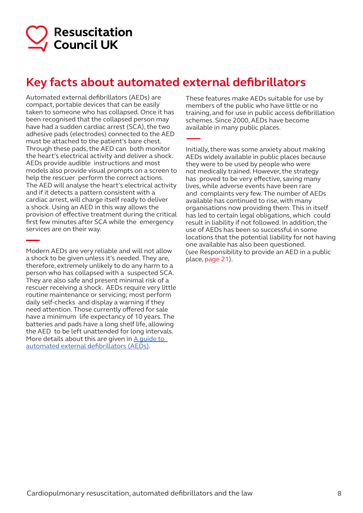

# **Key facts about automated external defibrillators**

Automated external defibrillators (AEDs) are compact, portable devices that can be easily taken to someone who has collapsed. Once it has been recognised that the collapsed person may have had a sudden cardiac arrest (SCA), the two adhesive pads (electrodes) connected to the AED must be attached to the patient's bare chest. Through these pads, the AED can both monitor the heart's electrical activity and deliver a shock. AEDs provide audible instructions and most models also provide visual prompts on a screen to help the rescuer perform the correct actions. The AED will analyse the heart's electrical activity and if it detects a pattern consistent with a cardiac arrest, will charge itself ready to deliver a shock. Using an AED in this way allows the provision of effective treatment during the critical first few minutes after SCA while the emergency services are on their way.

Modern AEDs are very reliable and will not allow a shock to be given unless it's needed. They are, therefore, extremely unlikely to do any harm to a person who has collapsed with a suspected SCA. They are also safe and present minimal risk of a rescuer receiving a shock. AEDs require very little routine maintenance or servicing; most perform daily self-checks and display a warning if they need attention. Those currently offered for sale have a minimum life expectancy of 10 years. The batteries and pads have a long shelf life, allowing the AED to be left unattended for long intervals. More details about this are given in  $\underline{A}$  guide to automated external defibrillators (AEDs).

These features make AEDs suitable for use by members of the public who have little or no training, and for use in public access defibrillation schemes. Since 2000, AEDs have become available in many public places.

Initially, there was some anxiety about making AEDs widely available in public places because they were to be used by people who were not medically trained. However, the strategy has proved to be very effective, saving many lives, while adverse events have been rare and complaints very few. The number of AEDs available has continued to rise, with many organisations now providing them. This in itself has led to certain legal obligations, which could result in liability if not followed. In addition, the use of AEDs has been so successful in some locations that the potential liability for not having one available has also been questioned. (see Responsibility to provide an AED in a public place, page 21).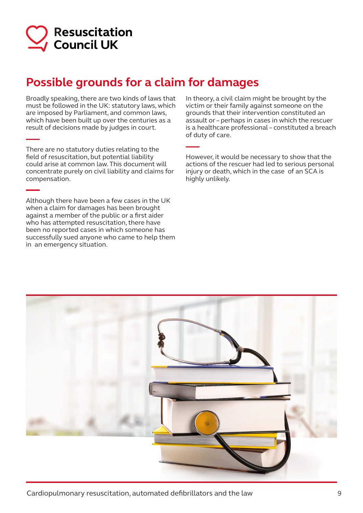

# **Possible grounds for a claim for damages**

Broadly speaking, there are two kinds of laws that must be followed in the UK: statutory laws, which are imposed by Parliament, and common laws, which have been built up over the centuries as a result of decisions made by judges in court.

There are no statutory duties relating to the field of resuscitation, but potential liability could arise at common law. This document will concentrate purely on civil liability and claims for compensation.

Although there have been a few cases in the UK when a claim for damages has been brought against a member of the public or a first aider who has attempted resuscitation, there have been no reported cases in which someone has successfully sued anyone who came to help them in an emergency situation.

In theory, a civil claim might be brought by the victim or their family against someone on the grounds that their intervention constituted an assault or – perhaps in cases in which the rescuer is a healthcare professional – constituted a breach of duty of care.

However, it would be necessary to show that the actions of the rescuer had led to serious personal injury or death, which in the case of an SCA is highly unlikely.

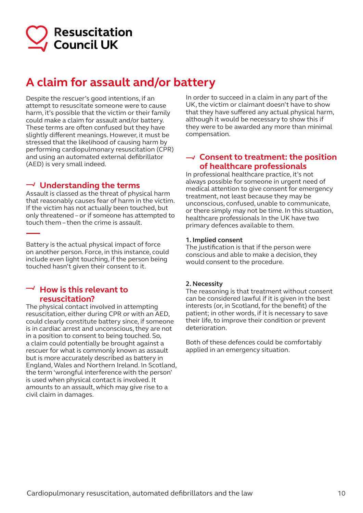

# **A claim for assault and/or battery**

Despite the rescuer's good intentions, if an attempt to resuscitate someone were to cause harm, it's possible that the victim or their family could make a claim for assault and/or battery. These terms are often confused but they have slightly different meanings. However, it must be stressed that the likelihood of causing harm by performing cardiopulmonary resuscitation (CPR) and using an automated external defibrillator (AED) is very small indeed.

### **Understanding the terms**

Assault is classed as the threat of physical harm that reasonably causes fear of harm in the victim. If the victim has not actually been touched, but only threatened – or if someone has attempted to touch them – then the crime is assault.

Battery is the actual physical impact of force on another person. Force, in this instance, could include even light touching, if the person being touched hasn't given their consent to it.

### $\overline{\phantom{a}}$  How is this relevant to **resuscitation?**

The physical contact involved in attempting resuscitation, either during CPR or with an AED, could clearly constitute battery since, if someone is in cardiac arrest and unconscious, they are not in a position to consent to being touched. So, a claim could potentially be brought against a rescuer for what is commonly known as assault but is more accurately described as battery in England, Wales and Northern Ireland. In Scotland, the term 'wrongful interference with the person' is used when physical contact is involved. It amounts to an assault, which may give rise to a civil claim in damages.

In order to succeed in a claim in any part of the UK, the victim or claimant doesn't have to show that they have suffered any actual physical harm, although it would be necessary to show this if they were to be awarded any more than minimal compensation.

### **Consent to treatment: the position of healthcare professionals**

In professional healthcare practice, it's not always possible for someone in urgent need of medical attention to give consent for emergency treatment, not least because they may be unconscious, confused, unable to communicate, or there simply may not be time. In this situation, healthcare professionals In the UK have two primary defences available to them.

#### **1. Implied consent**

The justification is that if the person were conscious and able to make a decision, they would consent to the procedure.

#### **2. Necessity**

The reasoning is that treatment without consent can be considered lawful if it is given in the best interests (or, in Scotland, for the benefit) of the patient; in other words, if it is necessary to save their life, to improve their condition or prevent deterioration.

Both of these defences could be comfortably applied in an emergency situation.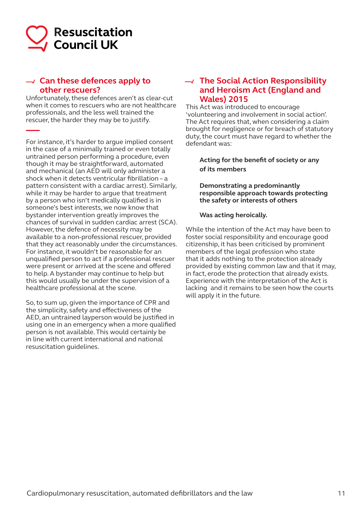

# **Can these defences apply to other rescuers?**

Unfortunately, these defences aren't as clear-cut when it comes to rescuers who are not healthcare professionals, and the less well trained the rescuer, the harder they may be to justify.

For instance, it's harder to argue implied consent in the case of a minimally trained or even totally untrained person performing a procedure, even though it may be straightforward, automated and mechanical (an AED will only administer a shock when it detects ventricular fibrillation – a pattern consistent with a cardiac arrest). Similarly, while it may be harder to arque that treatment by a person who isn't medically qualified is in someone's best interests, we now know that bystander intervention greatly improves the chances of survival in sudden cardiac arrest (SCA). However, the defence of necessity may be available to a non-professional rescuer, provided that they act reasonably under the circumstances. For instance, it wouldn't be reasonable for an unqualified person to act if a professional rescuer were present or arrived at the scene and offered to help. A bystander may continue to help but this would usually be under the supervision of a healthcare professional at the scene.

So, to sum up, given the importance of CPR and the simplicity, safety and effectiveness of the AED, an untrained layperson would be justified in using one in an emergency when a more qualified person is not available. This would certainly be in line with current international and national resuscitation guidelines.

### **The Social Action Responsibility and Heroism Act (England and Wales) 2015**

This Act was introduced to encourage 'volunteering and involvement in social action'. The Act requires that, when considering a claim brought for negligence or for breach of statutory duty, the court must have regard to whether the defendant was:

#### **Acting for the benefit of society or any of its members**

**Demonstrating a predominantly responsible approach towards protecting the safety or interests of others**

#### **Was acting heroically.**

While the intention of the Act may have been to foster social responsibility and encourage good citizenship, it has been criticised by prominent members of the legal profession who state that it adds nothing to the protection already provided by existing common law and that it may, in fact, erode the protection that already exists. Experience with the interpretation of the Act is lacking and it remains to be seen how the courts will apply it in the future.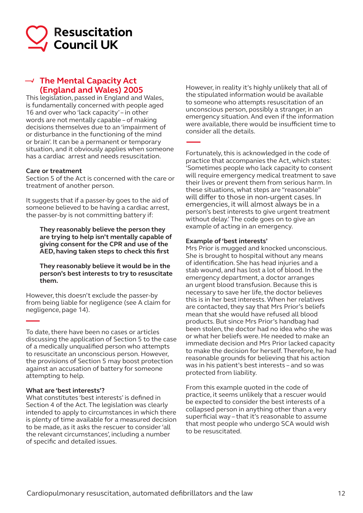

# **The Mental Capacity Act (England and Wales) 2005**

This legislation, passed in England and Wales, is fundamentally concerned with people aged 16 and over who 'lack capacity' – in other words are not mentally capable – of making decisions themselves due to an 'impairment of or disturbance in the functioning of the mind or brain'. It can be a permanent or temporary situation, and it obviously applies when someone has a cardiac arrest and needs resuscitation.

#### **Care or treatment**

Section 5 of the Act is concerned with the care or treatment of another person.

It suggests that if a passer-by goes to the aid of someone believed to be having a cardiac arrest, the passer-by is not committing battery if:

**They reasonably believe the person they are trying to help isn't mentally capable of giving consent for the CPR and use of the AED, having taken steps to check this first**

**They reasonably believe it would be in the person's best interests to try to resuscitate them.**

However, this doesn't exclude the passer-by from being liable for negligence (see A claim for negligence, page 14).

To date, there have been no cases or articles discussing the application of Section 5 to the case of a medically unqualified person who attempts to resuscitate an unconscious person. However, the provisions of Section 5 may boost protection against an accusation of battery for someone attempting to help.

#### **What are 'best interests'?**

What constitutes 'best interests' is defined in Section 4 of the Act. The legislation was clearly intended to apply to circumstances in which there is plenty of time available for a measured decision to be made, as it asks the rescuer to consider 'all the relevant circumstances', including a number of specific and detailed issues.

However, in reality it's highly unlikely that all of the stipulated information would be available to someone who attempts resuscitation of an unconscious person, possibly a stranger, in an emergency situation. And even if the information were available, there would be insufficient time to consider all the details.

Fortunately, this is acknowledged in the code of practice that accompanies the Act, which states: 'Sometimes people who lack capacity to consent will require emergency medical treatment to save their lives or prevent them from serious harm. In these situations, what steps are "reasonable" will differ to those in non-urgent cases. In emergencies, it will almost always be in a person's best interests to give urgent treatment without delay.' The code goes on to give an example of acting in an emergency.

#### **Example of 'best interests'**

Mrs Prior is mugged and knocked unconscious. She is brought to hospital without any means of identification. She has head injuries and a stab wound, and has lost a lot of blood. In the emergency department, a doctor arranges an urgent blood transfusion. Because this is necessary to save her life, the doctor believes this is in her best interests. When her relatives are contacted, they say that Mrs Prior's beliefs mean that she would have refused all blood products. But since Mrs Prior's handbag had been stolen, the doctor had no idea who she was or what her beliefs were. He needed to make an immediate decision and Mrs Prior lacked capacity to make the decision for herself. Therefore, he had reasonable grounds for believing that his action was in his patient's best interests – and so was protected from liability.

From this example quoted in the code of practice, it seems unlikely that a rescuer would be expected to consider the best interests of a collapsed person in anything other than a very superficial way – that it's reasonable to assume that most people who undergo SCA would wish to be resuscitated.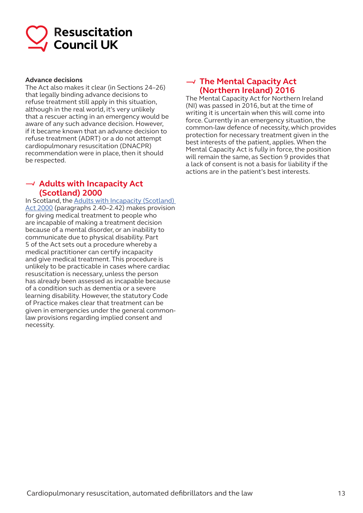

#### **Advance decisions**

The Act also makes it clear (in Sections 24–26) that legally binding advance decisions to refuse treatment still apply in this situation, although in the real world, it's very unlikely that a rescuer acting in an emergency would be aware of any such advance decision. However, if it became known that an advance decision to refuse treatment (ADRT) or a do not attempt cardiopulmonary resuscitation (DNACPR) recommendation were in place, then it should be respected.

### **Adults with Incapacity Act (Scotland) 2000**

In Scotland, the Adults with Incapacity (Scotland) Act 2000 (paragraphs 2.40–2.42) makes provision for giving medical treatment to people who are incapable of making a treatment decision because of a mental disorder, or an inability to communicate due to physical disability. Part 5 of the Act sets out a procedure whereby a medical practitioner can certify incapacity and give medical treatment. This procedure is unlikely to be practicable in cases where cardiac resuscitation is necessary, unless the person has already been assessed as incapable because of a condition such as dementia or a severe learning disability. However, the statutory Code of Practice makes clear that treatment can be given in emergencies under the general commonlaw provisions regarding implied consent and necessity.

### **The Mental Capacity Act (Northern Ireland) 2016**

The Mental Capacity Act for Northern Ireland (NI) was passed in 2016, but at the time of writing it is uncertain when this will come into force. Currently in an emergency situation, the common-law defence of necessity, which provides protection for necessary treatment given in the best interests of the patient, applies. When the Mental Capacity Act is fully in force, the position will remain the same, as Section 9 provides that a lack of consent is not a basis for liability if the actions are in the patient's best interests.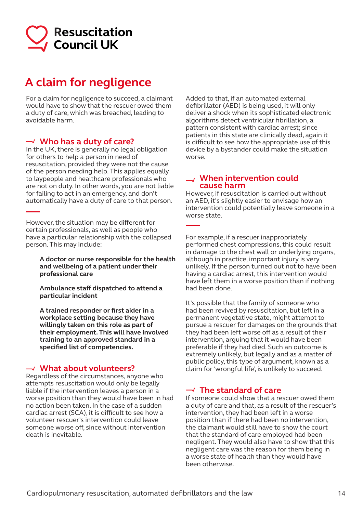

# **A claim for negligence**

For a claim for negligence to succeed, a claimant would have to show that the rescuer owed them a duty of care, which was breached, leading to avoidable harm.

### **Who has a duty of care?**

In the UK, there is generally no legal obligation for others to help a person in need of resuscitation, provided they were not the cause of the person needing help. This applies equally to laypeople and healthcare professionals who are not on duty. In other words, you are not liable for failing to act in an emergency, and don't automatically have a duty of care to that person.

However, the situation may be different for certain professionals, as well as people who have a particular relationship with the collapsed person. This may include:

**A doctor or nurse responsible for the health and wellbeing of a patient under their professional care**

**Ambulance staff dispatched to attend a particular incident**

**A trained responder or first aider in a workplace setting because they have willingly taken on this role as part of their employment. This will have involved training to an approved standard in a specified list of competencies.**

### **What about volunteers?**

Regardless of the circumstances, anyone who attempts resuscitation would only be legally liable if the intervention leaves a person in a worse position than they would have been in had no action been taken. In the case of a sudden cardiac arrest (SCA), it is difficult to see how a volunteer rescuer's intervention could leave someone worse off, since without intervention death is inevitable.

Added to that, if an automated external defibrillator (AED) is being used, it will only deliver a shock when its sophisticated electronic algorithms detect ventricular fibrillation, a pattern consistent with cardiac arrest; since patients in this state are clinically dead, again it is difficult to see how the appropriate use of this device by a bystander could make the situation worse.

#### **When intervention could cause harm**

However, if resuscitation is carried out without an AED, it's slightly easier to envisage how an intervention could potentially leave someone in a worse state.

For example, if a rescuer inappropriately performed chest compressions, this could result in damage to the chest wall or underlying organs, although in practice, important injury is very unlikely. If the person turned out not to have been having a cardiac arrest, this intervention would have left them in a worse position than if nothing had been done.

It's possible that the family of someone who had been revived by resuscitation, but left in a permanent vegetative state, might attempt to pursue a rescuer for damages on the grounds that they had been left worse off as a result of their intervention, arguing that it would have been preferable if they had died. Such an outcome is extremely unlikely, but legally and as a matter of public policy, this type of argument, known as a claim for 'wrongful life', is unlikely to succeed.

# **The standard of care**

If someone could show that a rescuer owed them a duty of care and that, as a result of the rescuer's intervention, they had been left in a worse position than if there had been no intervention, the claimant would still have to show the court that the standard of care employed had been negligent. They would also have to show that this negligent care was the reason for them being in a worse state of health than they would have been otherwise.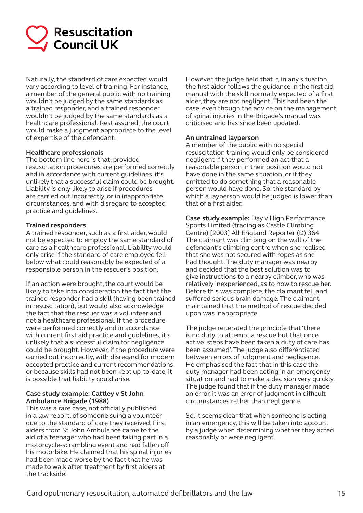

Naturally, the standard of care expected would vary according to level of training. For instance, a member of the general public with no training wouldn't be judged by the same standards as a trained responder, and a trained responder wouldn't be judged by the same standards as a healthcare professional. Rest assured, the court would make a judgment appropriate to the level of expertise of the defendant.

#### **Healthcare professionals**

The bottom line here is that, provided resuscitation procedures are performed correctly and in accordance with current guidelines, it's unlikely that a successful claim could be brought. Liability is only likely to arise if procedures are carried out incorrectly, or in inappropriate circumstances, and with disregard to accepted practice and guidelines.

#### **Trained responders**

A trained responder, such as a first aider, would not be expected to employ the same standard of care as a healthcare professional. Liability would only arise if the standard of care employed fell below what could reasonably be expected of a responsible person in the rescuer's position.

If an action were brought, the court would be likely to take into consideration the fact that the trained responder had a skill (having been trained in resuscitation), but would also acknowledge the fact that the rescuer was a volunteer and not a healthcare professional. If the procedure were performed correctly and in accordance with current first aid practice and guidelines, it's unlikely that a successful claim for negligence could be brought. However, if the procedure were carried out incorrectly, with disregard for modern accepted practice and current recommendations or because skills had not been kept up-to-date, it is possible that liability could arise.

#### **Case study example: Cattley v St John Ambulance Brigade (1988)**

This was a rare case, not officially published in a law report, of someone suing a volunteer due to the standard of care they received. First aiders from St John Ambulance came to the aid of a teenager who had been taking part in a motorcycle-scrambling event and had fallen off his motorbike. He claimed that his spinal injuries had been made worse by the fact that he was made to walk after treatment by first aiders at the trackside.

However, the judge held that if, in any situation, the first aider follows the guidance in the first aid manual with the skill normally expected of a first aider, they are not negligent. This had been the case, even though the advice on the management of spinal injuries in the Brigade's manual was criticised and has since been updated.

#### **An untrained layperson**

A member of the public with no special resuscitation training would only be considered negligent if they performed an act that a reasonable person in their position would not have done in the same situation, or if they omitted to do something that a reasonable person would have done. So, the standard by which a layperson would be judged is lower than that of a first aider.

**Case study example:** Day v High Performance Sports Limited (trading as Castle Climbing Centre) [2003] All England Reporter (D) 364 The claimant was climbing on the wall of the defendant's climbing centre when she realised that she was not secured with ropes as she had thought. The duty manager was nearby and decided that the best solution was to give instructions to a nearby climber, who was relatively inexperienced, as to how to rescue her. Before this was complete, the claimant fell and suffered serious brain damage. The claimant maintained that the method of rescue decided upon was inappropriate.

The judge reiterated the principle that 'there is no duty to attempt a rescue but that once active steps have been taken a duty of care has been assumed'. The judge also differentiated between errors of judgment and negligence. He emphasised the fact that in this case the duty manager had been acting in an emergency situation and had to make a decision very quickly. The judge found that if the duty manager made an error, it was an error of judgment in difficult circumstances rather than negligence.

So, it seems clear that when someone is acting in an emergency, this will be taken into account by a judge when determining whether they acted reasonably or were negligent.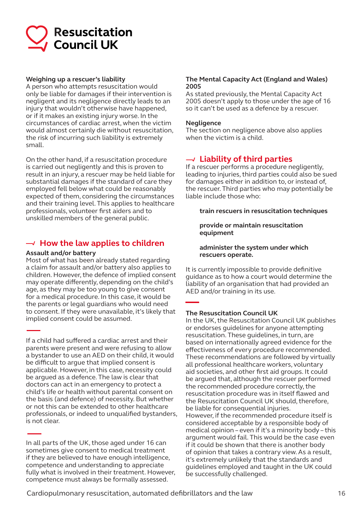

#### **Weighing up a rescuer's liability**

A person who attempts resuscitation would only be liable for damages if their intervention is negligent and its negligence directly leads to an injury that wouldn't otherwise have happened, or if it makes an existing injury worse. In the circumstances of cardiac arrest, when the victim would almost certainly die without resuscitation, the risk of incurring such liability is extremely small.

On the other hand, if a resuscitation procedure is carried out negligently and this is proven to result in an injury, a rescuer may be held liable for substantial damages if the standard of care they employed fell below what could be reasonably expected of them, considering the circumstances and their training level. This applies to healthcare professionals, volunteer first aiders and to unskilled members of the general public.

### **How the law applies to children**

#### **Assault and/or battery**

Most of what has been already stated regarding a claim for assault and/or battery also applies to children. However, the defence of implied consent may operate differently, depending on the child's age, as they may be too young to give consent for a medical procedure. In this case, it would be the parents or legal guardians who would need to consent. If they were unavailable, it's likely that implied consent could be assumed.

If a child had suffered a cardiac arrest and their parents were present and were refusing to allow a bystander to use an AED on their child, it would be difficult to argue that implied consent is applicable. However, in this case, necessity could be argued as a defence. The law is clear that doctors can act in an emergency to protect a child's life or health without parental consent on the basis (and defence) of necessity. But whether or not this can be extended to other healthcare professionals, or indeed to unqualified bystanders, is not clear.

In all parts of the UK, those aged under 16 can sometimes give consent to medical treatment if they are believed to have enough intelligence, competence and understanding to appreciate fully what is involved in their treatment. However, competence must always be formally assessed.

#### **The Mental Capacity Act (England and Wales) 2005**

As stated previously, the Mental Capacity Act 2005 doesn't apply to those under the age of 16 so it can't be used as a defence by a rescuer.

#### **Negligence**

The section on negligence above also applies when the victim is a child.

# **Liability of third parties**

If a rescuer performs a procedure negligently, leading to injuries, third parties could also be sued for damages either in addition to, or instead of, the rescuer. Third parties who may potentially be liable include those who:

#### **train rescuers in resuscitation techniques**

**provide or maintain resuscitation equipment**

#### **administer the system under which rescuers operate.**

It is currently impossible to provide definitive guidance as to how a court would determine the liability of an organisation that had provided an AED and/or training in its use.

#### **The Resuscitation Council UK**

In the UK, the Resuscitation Council UK publishes or endorses guidelines for anyone attempting resuscitation. These guidelines, in turn, are based on internationally agreed evidence for the effectiveness of every procedure recommended. These recommendations are followed by virtually all professional healthcare workers, voluntary aid societies, and other first aid groups. It could be argued that, although the rescuer performed the recommended procedure correctly, the resuscitation procedure was in itself flawed and the Resuscitation Council UK should, therefore, be liable for consequential injuries. However, if the recommended procedure itself is considered acceptable by a responsible body of medical opinion – even if it's a minority body – this argument would fail. This would be the case even if it could be shown that there is another body of opinion that takes a contrary view. As a result, it's extremely unlikely that the standards and guidelines employed and taught in the UK could be successfully challenged.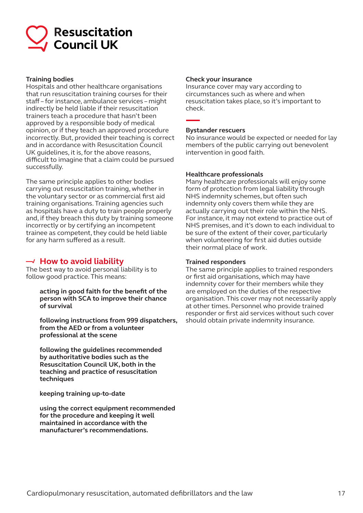

#### **Training bodies**

Hospitals and other healthcare organisations that run resuscitation training courses for their staff – for instance, ambulance services – might indirectly be held liable if their resuscitation trainers teach a procedure that hasn't been approved by a responsible body of medical opinion, or if they teach an approved procedure incorrectly. But, provided their teaching is correct and in accordance with Resuscitation Council UK guidelines, it is, for the above reasons, difficult to imagine that a claim could be pursued successfully.

The same principle applies to other bodies carrying out resuscitation training, whether in the voluntary sector or as commercial first aid training organisations. Training agencies such as hospitals have a duty to train people properly and, if they breach this duty by training someone incorrectly or by certifying an incompetent trainee as competent, they could be held liable for any harm suffered as a result.

### $\rightarrow$  How to avoid liability

The best way to avoid personal liability is to follow good practice. This means:

> **acting in good faith for the benefit of the person with SCA to improve their chance of survival**

**following instructions from 999 dispatchers, from the AED or from a volunteer professional at the scene**

**following the guidelines recommended by authoritative bodies such as the Resuscitation Council UK, both in the teaching and practice of resuscitation techniques**

**keeping training up-to-date**

**using the correct equipment recommended for the procedure and keeping it well maintained in accordance with the manufacturer's recommendations.**

#### **Check your insurance**

Insurance cover may vary according to circumstances such as where and when resuscitation takes place, so it's important to check.

#### **Bystander rescuers**

No insurance would be expected or needed for lay members of the public carrying out benevolent intervention in good faith.

#### **Healthcare professionals**

Many healthcare professionals will enjoy some form of protection from legal liability through NHS indemnity schemes, but often such indemnity only covers them while they are actually carrying out their role within the NHS. For instance, it may not extend to practice out of NHS premises, and it's down to each individual to be sure of the extent of their cover, particularly when volunteering for first aid duties outside their normal place of work.

#### **Trained responders**

The same principle applies to trained responders or first aid organisations, which may have indemnity cover for their members while they are employed on the duties of the respective organisation. This cover may not necessarily apply at other times. Personnel who provide trained responder or first aid services without such cover should obtain private indemnity insurance.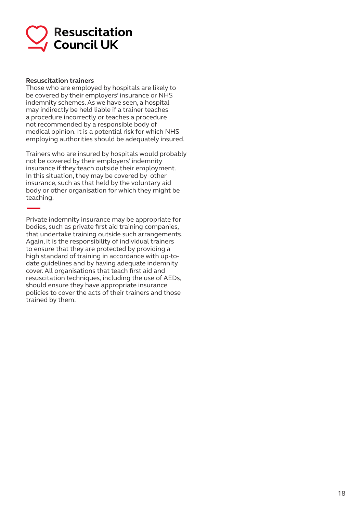

#### **Resuscitation trainers**

Those who are employed by hospitals are likely to be covered by their employers' insurance or NHS indemnity schemes. As we have seen, a hospital may indirectly be held liable if a trainer teaches a procedure incorrectly or teaches a procedure not recommended by a responsible body of medical opinion. It is a potential risk for which NHS employing authorities should be adequately insured.

Trainers who are insured by hospitals would probably not be covered by their employers' indemnity insurance if they teach outside their employment. In this situation, they may be covered by other insurance, such as that held by the voluntary aid body or other organisation for which they might be teaching.

Private indemnity insurance may be appropriate for bodies, such as private first aid training companies, that undertake training outside such arrangements. Again, it is the responsibility of individual trainers to ensure that they are protected by providing a high standard of training in accordance with up-todate guidelines and by having adequate indemnity cover. All organisations that teach first aid and resuscitation techniques, including the use of AEDs, should ensure they have appropriate insurance policies to cover the acts of their trainers and those trained by them.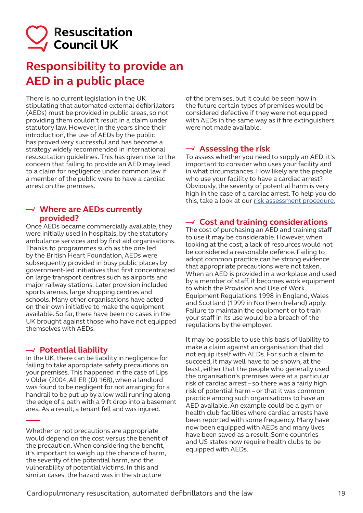# **Resuscitation** Gouncil UK

# **Responsibility to provide an AED in a public place**

There is no current legislation in the UK stipulating that automated external defibrillators (AEDs) must be provided in public areas, so not providing them couldn't result in a claim under statutory law. However, in the years since their introduction, the use of AEDs by the public has proved very successful and has become a strategy widely recommended in international resuscitation guidelines. This has given rise to the concern that failing to provide an AED may lead to a claim for negligence under common law if a member of the public were to have a cardiac arrest on the premises.

### **Where are AEDs currently provided?**

Once AEDs became commercially available, they were initially used in hospitals, by the statutory ambulance services and by first aid organisations. Thanks to programmes such as the one led by the British Heart Foundation, AEDs were subsequently provided in busy public places by government-led initiatives that first concentrated on large transport centres such as airports and major railway stations. Later provision included sports arenas, large shopping centres and schools. Many other organisations have acted on their own initiative to make the equipment available. So far, there have been no cases in the UK brought against those who have not equipped themselves with AEDs.

# **Potential liability**

In the UK, there can be liability in negligence for failing to take appropriate safety precautions on your premises. This happened in the case of Lips v Older (2004, All ER (D) 168), when a landlord was found to be negligent for not arranging for a handrail to be put up by a low wall running along the edge of a path with a 9 ft drop into a basement area. As a result, a tenant fell and was injured.

Whether or not precautions are appropriate would depend on the cost versus the benefit of the precaution. When considering the benefit, it's important to weigh up the chance of harm, the severity of the potential harm, and the vulnerability of potential victims. In this and similar cases, the hazard was in the structure

of the premises, but it could be seen how in the future certain types of premises would be considered defective if they were not equipped with AEDs in the same way as if fire extinguishers were not made available.

# **Assessing the risk**

To assess whether you need to supply an AED, it's important to consider who uses your facility and in what circumstances. How likely are the people who use your facility to have a cardiac arrest? Obviously, the severity of potential harm is very high in the case of a cardiac arrest. To help you do this, take a look at our risk assessment procedure.

# **Cost and training considerations**

The cost of purchasing an AED and training staff to use it may be considerable. However, when looking at the cost, a lack of resources would not be considered a reasonable defence. Failing to adopt common practice can be strong evidence that appropriate precautions were not taken. When an AED is provided in a workplace and used by a member of staff, it becomes work equipment to which the Provision and Use of Work Equipment Regulations 1998 in England, Wales and Scotland (1999 in Northern Ireland) apply. Failure to maintain the equipment or to train your staff in its use would be a breach of the regulations by the employer.

It may be possible to use this basis of liability to make a claim against an organisation that did not equip itself with AEDs. For such a claim to succeed, it may well have to be shown, at the least, either that the people who generally used the organisation's premises were at a particular risk of cardiac arrest – so there was a fairly high risk of potential harm – or that it was common practice among such organisations to have an AED available. An example could be a gym or health club facilities where cardiac arrests have been reported with some frequency. Many have now been equipped with AEDs and many lives have been saved as a result. Some countries and US states now require health clubs to be equipped with AEDs.